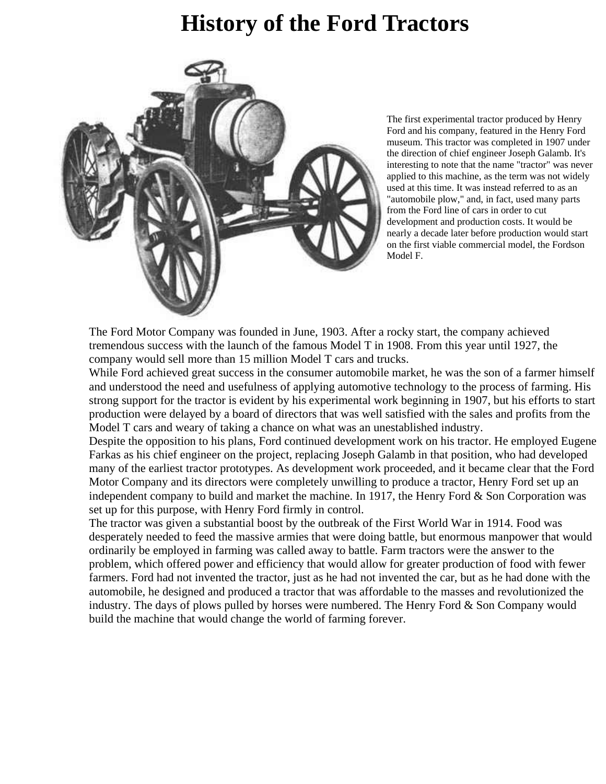# **History of the Ford Tractors**



The first experimental tractor produced by Henry Ford and his company, featured in the Henry Ford museum. This tractor was completed in 1907 under the direction of chief engineer Joseph Galamb. It's interesting to note that the name "tractor" was never applied to this machine, as the term was not widely used at this time. It was instead referred to as an "automobile plow," and, in fact, used many parts from the Ford line of cars in order to cut development and production costs. It would be nearly a decade later before production would start on the first viable commercial model, the Fordson Model F.

The Ford Motor Company was founded in June, 1903. After a rocky start, the company achieved tremendous success with the launch of the famous Model T in 1908. From this year until 1927, the company would sell more than 15 million Model T cars and trucks.

While Ford achieved great success in the consumer automobile market, he was the son of a farmer himself and understood the need and usefulness of applying automotive technology to the process of farming. His strong support for the tractor is evident by his experimental work beginning in 1907, but his efforts to start production were delayed by a board of directors that was well satisfied with the sales and profits from the Model T cars and weary of taking a chance on what was an unestablished industry.

Despite the opposition to his plans, Ford continued development work on his tractor. He employed Eugene Farkas as his chief engineer on the project, replacing Joseph Galamb in that position, who had developed many of the earliest tractor prototypes. As development work proceeded, and it became clear that the Ford Motor Company and its directors were completely unwilling to produce a tractor, Henry Ford set up an independent company to build and market the machine. In 1917, the Henry Ford  $&$  Son Corporation was set up for this purpose, with Henry Ford firmly in control.

The tractor was given a substantial boost by the outbreak of the First World War in 1914. Food was desperately needed to feed the massive armies that were doing battle, but enormous manpower that would ordinarily be employed in farming was called away to battle. Farm tractors were the answer to the problem, which offered power and efficiency that would allow for greater production of food with fewer farmers. Ford had not invented the tractor, just as he had not invented the car, but as he had done with the automobile, he designed and produced a tractor that was affordable to the masses and revolutionized the industry. The days of plows pulled by horses were numbered. The Henry Ford & Son Company would build the machine that would change the world of farming forever.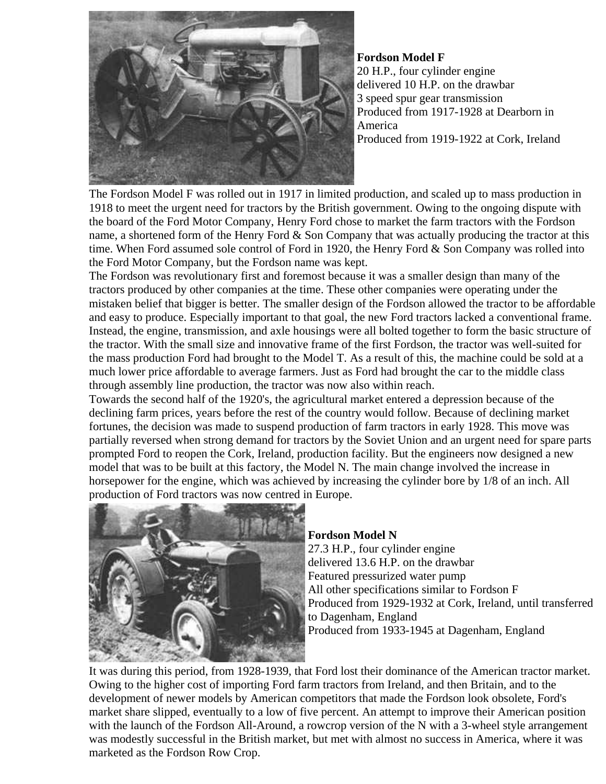

**Fordson Model F** 20 H.P., four cylinder engine delivered 10 H.P. on the drawbar 3 speed spur gear transmission Produced from 1917-1928 at Dearborn in America Produced from 1919-1922 at Cork, Ireland

The Fordson Model F was rolled out in 1917 in limited production, and scaled up to mass production in 1918 to meet the urgent need for tractors by the British government. Owing to the ongoing dispute with the board of the Ford Motor Company, Henry Ford chose to market the farm tractors with the Fordson name, a shortened form of the Henry Ford  $&$  Son Company that was actually producing the tractor at this time. When Ford assumed sole control of Ford in 1920, the Henry Ford & Son Company was rolled into the Ford Motor Company, but the Fordson name was kept.

The Fordson was revolutionary first and foremost because it was a smaller design than many of the tractors produced by other companies at the time. These other companies were operating under the mistaken belief that bigger is better. The smaller design of the Fordson allowed the tractor to be affordable and easy to produce. Especially important to that goal, the new Ford tractors lacked a conventional frame. Instead, the engine, transmission, and axle housings were all bolted together to form the basic structure of the tractor. With the small size and innovative frame of the first Fordson, the tractor was well-suited for the mass production Ford had brought to the Model T. As a result of this, the machine could be sold at a much lower price affordable to average farmers. Just as Ford had brought the car to the middle class through assembly line production, the tractor was now also within reach.

Towards the second half of the 1920's, the agricultural market entered a depression because of the declining farm prices, years before the rest of the country would follow. Because of declining market fortunes, the decision was made to suspend production of farm tractors in early 1928. This move was partially reversed when strong demand for tractors by the Soviet Union and an urgent need for spare parts prompted Ford to reopen the Cork, Ireland, production facility. But the engineers now designed a new model that was to be built at this factory, the Model N. The main change involved the increase in horsepower for the engine, which was achieved by increasing the cylinder bore by 1/8 of an inch. All production of Ford tractors was now centred in Europe.



#### **Fordson Model N**

27.3 H.P., four cylinder engine delivered 13.6 H.P. on the drawbar Featured pressurized water pump All other specifications similar to Fordson F Produced from 1929-1932 at Cork, Ireland, until transferred to Dagenham, England Produced from 1933-1945 at Dagenham, England

It was during this period, from 1928-1939, that Ford lost their dominance of the American tractor market. Owing to the higher cost of importing Ford farm tractors from Ireland, and then Britain, and to the development of newer models by American competitors that made the Fordson look obsolete, Ford's market share slipped, eventually to a low of five percent. An attempt to improve their American position with the launch of the Fordson All-Around, a rowcrop version of the N with a 3-wheel style arrangement was modestly successful in the British market, but met with almost no success in America, where it was marketed as the Fordson Row Crop.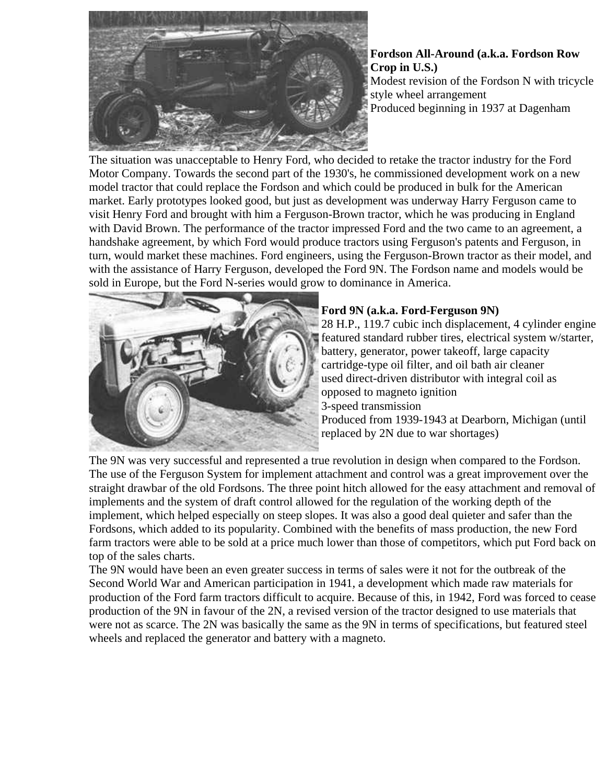

**Fordson All-Around (a.k.a. Fordson Row Crop in U.S.)** Modest revision of the Fordson N with tricycle style wheel arrangement Produced beginning in 1937 at Dagenham

The situation was unacceptable to Henry Ford, who decided to retake the tractor industry for the Ford Motor Company. Towards the second part of the 1930's, he commissioned development work on a new model tractor that could replace the Fordson and which could be produced in bulk for the American market. Early prototypes looked good, but just as development was underway Harry Ferguson came to visit Henry Ford and brought with him a Ferguson-Brown tractor, which he was producing in England with David Brown. The performance of the tractor impressed Ford and the two came to an agreement, a handshake agreement, by which Ford would produce tractors using Ferguson's patents and Ferguson, in turn, would market these machines. Ford engineers, using the Ferguson-Brown tractor as their model, and with the assistance of Harry Ferguson, developed the Ford 9N. The Fordson name and models would be sold in Europe, but the Ford N-series would grow to dominance in America.



## **Ford 9N (a.k.a. Ford-Ferguson 9N)**

28 H.P., 119.7 cubic inch displacement, 4 cylinder engine featured standard rubber tires, electrical system w/starter, battery, generator, power takeoff, large capacity cartridge-type oil filter, and oil bath air cleaner used direct-driven distributor with integral coil as opposed to magneto ignition 3-speed transmission Produced from 1939-1943 at Dearborn, Michigan (until replaced by 2N due to war shortages)

The 9N was very successful and represented a true revolution in design when compared to the Fordson. The use of the Ferguson System for implement attachment and control was a great improvement over the straight drawbar of the old Fordsons. The three point hitch allowed for the easy attachment and removal of implements and the system of draft control allowed for the regulation of the working depth of the implement, which helped especially on steep slopes. It was also a good deal quieter and safer than the Fordsons, which added to its popularity. Combined with the benefits of mass production, the new Ford farm tractors were able to be sold at a price much lower than those of competitors, which put Ford back on top of the sales charts.

The 9N would have been an even greater success in terms of sales were it not for the outbreak of the Second World War and American participation in 1941, a development which made raw materials for production of the Ford farm tractors difficult to acquire. Because of this, in 1942, Ford was forced to cease production of the 9N in favour of the 2N, a revised version of the tractor designed to use materials that were not as scarce. The 2N was basically the same as the 9N in terms of specifications, but featured steel wheels and replaced the generator and battery with a magneto.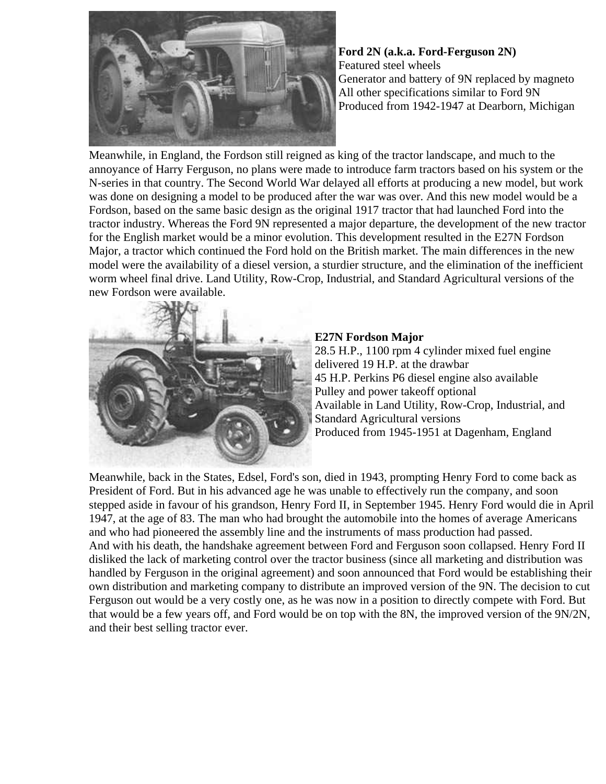

**Ford 2N (a.k.a. Ford-Ferguson 2N)** Featured steel wheels Generator and battery of 9N replaced by magneto All other specifications similar to Ford 9N Produced from 1942-1947 at Dearborn, Michigan

Meanwhile, in England, the Fordson still reigned as king of the tractor landscape, and much to the annoyance of Harry Ferguson, no plans were made to introduce farm tractors based on his system or the N-series in that country. The Second World War delayed all efforts at producing a new model, but work was done on designing a model to be produced after the war was over. And this new model would be a Fordson, based on the same basic design as the original 1917 tractor that had launched Ford into the tractor industry. Whereas the Ford 9N represented a major departure, the development of the new tractor for the English market would be a minor evolution. This development resulted in the E27N Fordson Major, a tractor which continued the Ford hold on the British market. The main differences in the new model were the availability of a diesel version, a sturdier structure, and the elimination of the inefficient worm wheel final drive. Land Utility, Row-Crop, Industrial, and Standard Agricultural versions of the new Fordson were available.



#### **E27N Fordson Major**

28.5 H.P., 1100 rpm 4 cylinder mixed fuel engine delivered 19 H.P. at the drawbar 45 H.P. Perkins P6 diesel engine also available Pulley and power takeoff optional Available in Land Utility, Row-Crop, Industrial, and Standard Agricultural versions Produced from 1945-1951 at Dagenham, England

Meanwhile, back in the States, Edsel, Ford's son, died in 1943, prompting Henry Ford to come back as President of Ford. But in his advanced age he was unable to effectively run the company, and soon stepped aside in favour of his grandson, Henry Ford II, in September 1945. Henry Ford would die in April 1947, at the age of 83. The man who had brought the automobile into the homes of average Americans and who had pioneered the assembly line and the instruments of mass production had passed. And with his death, the handshake agreement between Ford and Ferguson soon collapsed. Henry Ford II disliked the lack of marketing control over the tractor business (since all marketing and distribution was handled by Ferguson in the original agreement) and soon announced that Ford would be establishing their own distribution and marketing company to distribute an improved version of the 9N. The decision to cut Ferguson out would be a very costly one, as he was now in a position to directly compete with Ford. But that would be a few years off, and Ford would be on top with the 8N, the improved version of the 9N/2N, and their best selling tractor ever.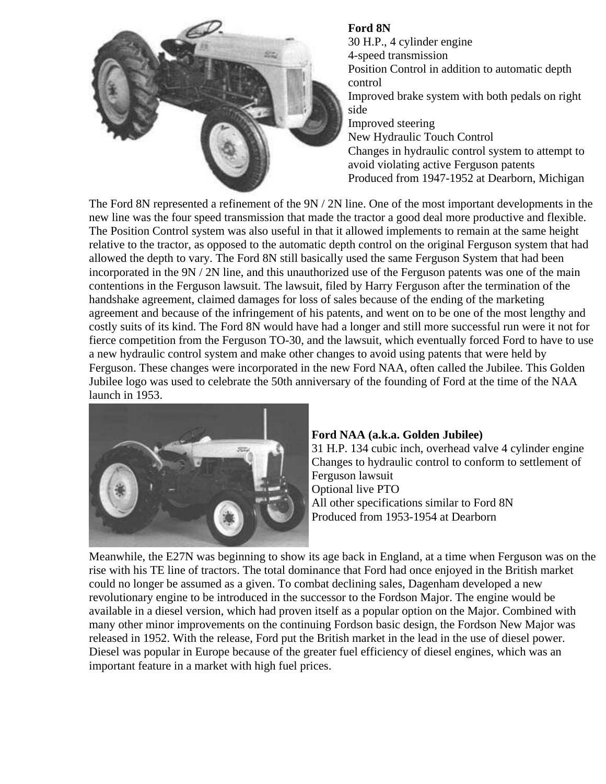

# **Ford 8N**

30 H.P., 4 cylinder engine 4-speed transmission Position Control in addition to automatic depth control Improved brake system with both pedals on right side

Improved steering

New Hydraulic Touch Control Changes in hydraulic control system to attempt to avoid violating active Ferguson patents Produced from 1947-1952 at Dearborn, Michigan

The Ford 8N represented a refinement of the 9N / 2N line. One of the most important developments in the new line was the four speed transmission that made the tractor a good deal more productive and flexible. The Position Control system was also useful in that it allowed implements to remain at the same height relative to the tractor, as opposed to the automatic depth control on the original Ferguson system that had allowed the depth to vary. The Ford 8N still basically used the same Ferguson System that had been incorporated in the 9N / 2N line, and this unauthorized use of the Ferguson patents was one of the main contentions in the Ferguson lawsuit. The lawsuit, filed by Harry Ferguson after the termination of the handshake agreement, claimed damages for loss of sales because of the ending of the marketing agreement and because of the infringement of his patents, and went on to be one of the most lengthy and costly suits of its kind. The Ford 8N would have had a longer and still more successful run were it not for fierce competition from the Ferguson TO-30, and the lawsuit, which eventually forced Ford to have to use a new hydraulic control system and make other changes to avoid using patents that were held by Ferguson. These changes were incorporated in the new Ford NAA, often called the Jubilee. This Golden Jubilee logo was used to celebrate the 50th anniversary of the founding of Ford at the time of the NAA launch in 1953.



### **Ford NAA (a.k.a. Golden Jubilee)**

31 H.P. 134 cubic inch, overhead valve 4 cylinder engine Changes to hydraulic control to conform to settlement of Ferguson lawsuit Optional live PTO All other specifications similar to Ford 8N Produced from 1953-1954 at Dearborn

Meanwhile, the E27N was beginning to show its age back in England, at a time when Ferguson was on the rise with his TE line of tractors. The total dominance that Ford had once enjoyed in the British market could no longer be assumed as a given. To combat declining sales, Dagenham developed a new revolutionary engine to be introduced in the successor to the Fordson Major. The engine would be available in a diesel version, which had proven itself as a popular option on the Major. Combined with many other minor improvements on the continuing Fordson basic design, the Fordson New Major was released in 1952. With the release, Ford put the British market in the lead in the use of diesel power. Diesel was popular in Europe because of the greater fuel efficiency of diesel engines, which was an important feature in a market with high fuel prices.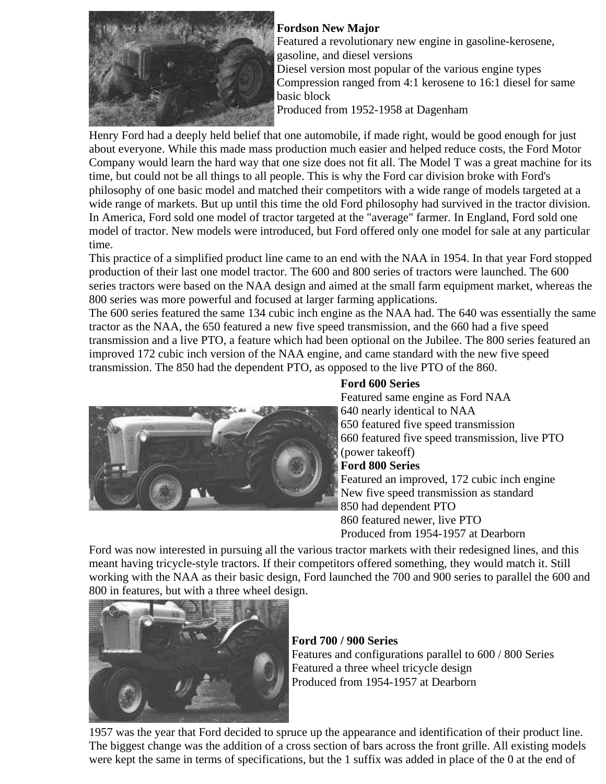

### **Fordson New Major**

Featured a revolutionary new engine in gasoline-kerosene, gasoline, and diesel versions Diesel version most popular of the various engine types Compression ranged from 4:1 kerosene to 16:1 diesel for same basic block

Produced from 1952-1958 at Dagenham

Henry Ford had a deeply held belief that one automobile, if made right, would be good enough for just about everyone. While this made mass production much easier and helped reduce costs, the Ford Motor Company would learn the hard way that one size does not fit all. The Model T was a great machine for its time, but could not be all things to all people. This is why the Ford car division broke with Ford's philosophy of one basic model and matched their competitors with a wide range of models targeted at a wide range of markets. But up until this time the old Ford philosophy had survived in the tractor division. In America, Ford sold one model of tractor targeted at the "average" farmer. In England, Ford sold one model of tractor. New models were introduced, but Ford offered only one model for sale at any particular time.

This practice of a simplified product line came to an end with the NAA in 1954. In that year Ford stopped production of their last one model tractor. The 600 and 800 series of tractors were launched. The 600 series tractors were based on the NAA design and aimed at the small farm equipment market, whereas the 800 series was more powerful and focused at larger farming applications.

The 600 series featured the same 134 cubic inch engine as the NAA had. The 640 was essentially the same tractor as the NAA, the 650 featured a new five speed transmission, and the 660 had a five speed transmission and a live PTO, a feature which had been optional on the Jubilee. The 800 series featured an improved 172 cubic inch version of the NAA engine, and came standard with the new five speed transmission. The 850 had the dependent PTO, as opposed to the live PTO of the 860.



# **Ford 600 Series**

Featured same engine as Ford NAA 640 nearly identical to NAA 650 featured five speed transmission 660 featured five speed transmission, live PTO (power takeoff) **Ford 800 Series**

Featured an improved, 172 cubic inch engine New five speed transmission as standard 850 had dependent PTO 860 featured newer, live PTO Produced from 1954-1957 at Dearborn

Ford was now interested in pursuing all the various tractor markets with their redesigned lines, and this meant having tricycle-style tractors. If their competitors offered something, they would match it. Still working with the NAA as their basic design, Ford launched the 700 and 900 series to parallel the 600 and 800 in features, but with a three wheel design.



#### **Ford 700 / 900 Series**

Features and configurations parallel to 600 / 800 Series Featured a three wheel tricycle design Produced from 1954-1957 at Dearborn

1957 was the year that Ford decided to spruce up the appearance and identification of their product line. The biggest change was the addition of a cross section of bars across the front grille. All existing models were kept the same in terms of specifications, but the 1 suffix was added in place of the 0 at the end of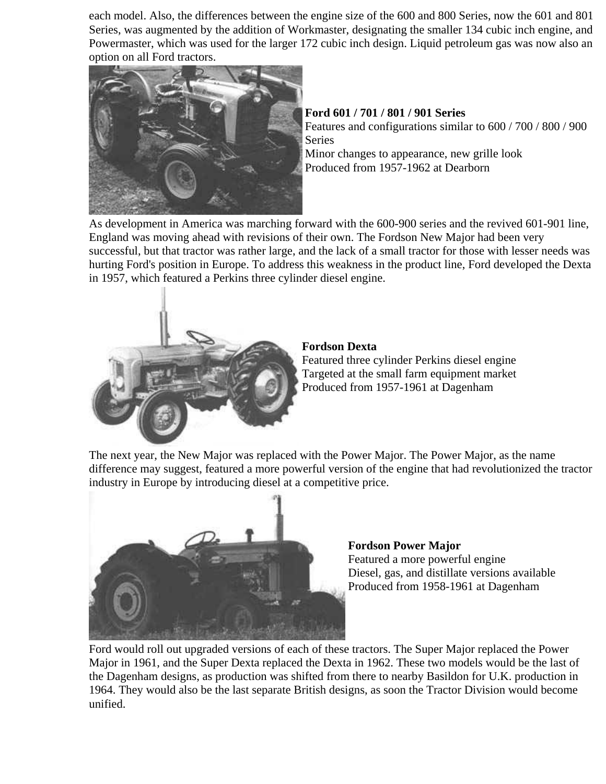each model. Also, the differences between the engine size of the 600 and 800 Series, now the 601 and 801 Series, was augmented by the addition of Workmaster, designating the smaller 134 cubic inch engine, and Powermaster, which was used for the larger 172 cubic inch design. Liquid petroleum gas was now also an option on all Ford tractors.



**Ford 601 / 701 / 801 / 901 Series** Features and configurations similar to 600 / 700 / 800 / 900 Series Minor changes to appearance, new grille look

Produced from 1957-1962 at Dearborn

As development in America was marching forward with the 600-900 series and the revived 601-901 line, England was moving ahead with revisions of their own. The Fordson New Major had been very successful, but that tractor was rather large, and the lack of a small tractor for those with lesser needs was hurting Ford's position in Europe. To address this weakness in the product line, Ford developed the Dexta in 1957, which featured a Perkins three cylinder diesel engine.



#### **Fordson Dexta**

Featured three cylinder Perkins diesel engine Targeted at the small farm equipment market Produced from 1957-1961 at Dagenham

The next year, the New Major was replaced with the Power Major. The Power Major, as the name difference may suggest, featured a more powerful version of the engine that had revolutionized the tractor industry in Europe by introducing diesel at a competitive price.



**Fordson Power Major** Featured a more powerful engine Diesel, gas, and distillate versions available Produced from 1958-1961 at Dagenham

Ford would roll out upgraded versions of each of these tractors. The Super Major replaced the Power Major in 1961, and the Super Dexta replaced the Dexta in 1962. These two models would be the last of the Dagenham designs, as production was shifted from there to nearby Basildon for U.K. production in 1964. They would also be the last separate British designs, as soon the Tractor Division would become unified.